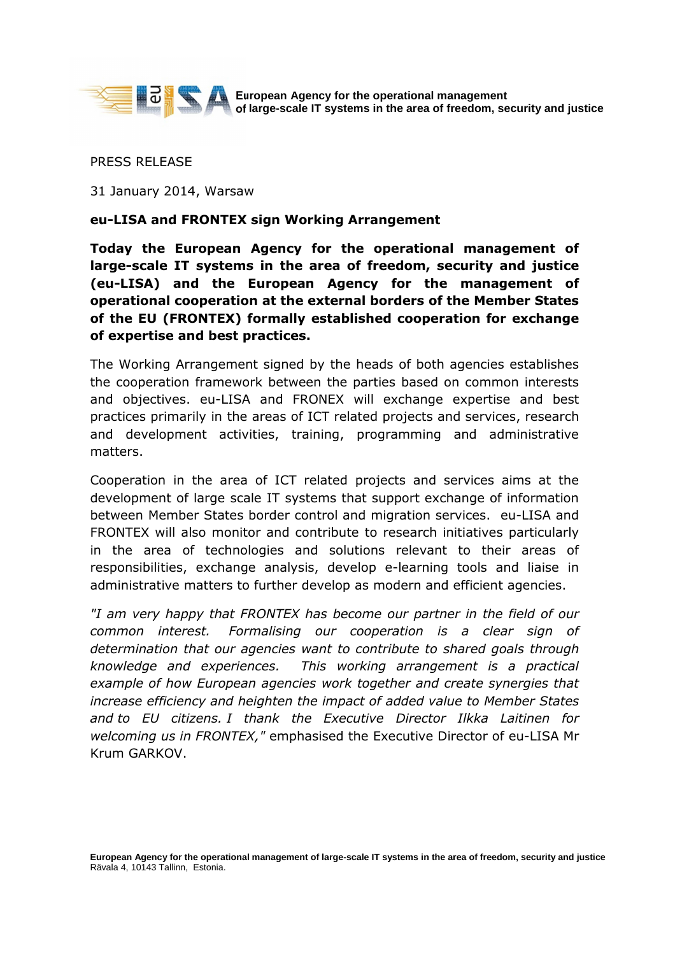

**European Agency for the operational management of large-scale IT systems in the area of freedom, security and justice**

PRESS RELEASE

31 January 2014, Warsaw

## **eu-LISA and FRONTEX sign Working Arrangement**

**Today the European Agency for the operational management of large-scale IT systems in the area of freedom, security and justice (eu-LISA) and the European Agency for the management of operational cooperation at the external borders of the Member States of the EU (FRONTEX) formally established cooperation for exchange of expertise and best practices.** 

The Working Arrangement signed by the heads of both agencies establishes the cooperation framework between the parties based on common interests and objectives. eu-LISA and FRONEX will exchange expertise and best practices primarily in the areas of ICT related projects and services, research and development activities, training, programming and administrative matters.

Cooperation in the area of ICT related projects and services aims at the development of large scale IT systems that support exchange of information between Member States border control and migration services. eu-LISA and FRONTEX will also monitor and contribute to research initiatives particularly in the area of technologies and solutions relevant to their areas of responsibilities, exchange analysis, develop e-learning tools and liaise in administrative matters to further develop as modern and efficient agencies.

*"I am very happy that FRONTEX has become our partner in the field of our common interest. Formalising our cooperation is a clear sign of determination that our agencies want to contribute to shared goals through knowledge and experiences. This working arrangement is a practical example of how European agencies work together and create synergies that increase efficiency and heighten the impact of added value to Member States and to EU citizens. I thank the Executive Director Ilkka Laitinen for welcoming us in FRONTEX,"* emphasised the Executive Director of eu-LISA Mr Krum GARKOV.